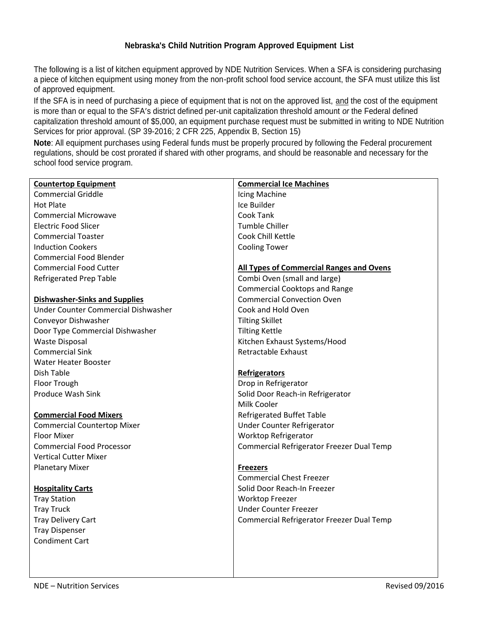#### **Nebraska's Child Nutrition Program Approved Equipment List**

The following is a list of kitchen equipment approved by NDE Nutrition Services. When a SFA is considering purchasing a piece of kitchen equipment using money from the non-profit school food service account, the SFA must utilize this list of approved equipment.

If the SFA is in need of purchasing a piece of equipment that is not on the approved list, and the cost of the equipment is more than or equal to the SFA's district defined per-unit capitalization threshold amount *or* the Federal defined capitalization threshold amount of \$5,000, an equipment purchase request must be submitted in writing to NDE Nutrition Services for prior approval. (SP 39-2016; 2 CFR 225, Appendix B, Section 15)

**Note**: All equipment purchases using Federal funds must be properly procured by following the Federal procurement regulations, should be cost prorated if shared with other programs, and should be reasonable and necessary for the school food service program.

| <b>Countertop Equipment</b>          | <b>Commercial Ice Machines</b>                  |
|--------------------------------------|-------------------------------------------------|
| <b>Commercial Griddle</b>            | Icing Machine                                   |
| <b>Hot Plate</b>                     | Ice Builder                                     |
| <b>Commercial Microwave</b>          | Cook Tank                                       |
| <b>Electric Food Slicer</b>          | Tumble Chiller                                  |
| <b>Commercial Toaster</b>            | Cook Chill Kettle                               |
| <b>Induction Cookers</b>             | <b>Cooling Tower</b>                            |
| <b>Commercial Food Blender</b>       |                                                 |
| <b>Commercial Food Cutter</b>        | <b>All Types of Commercial Ranges and Ovens</b> |
| <b>Refrigerated Prep Table</b>       | Combi Oven (small and large)                    |
|                                      | <b>Commercial Cooktops and Range</b>            |
| <b>Dishwasher-Sinks and Supplies</b> | <b>Commercial Convection Oven</b>               |
| Under Counter Commercial Dishwasher  | Cook and Hold Oven                              |
| Conveyor Dishwasher                  | <b>Tilting Skillet</b>                          |
| Door Type Commercial Dishwasher      | <b>Tilting Kettle</b>                           |
| <b>Waste Disposal</b>                | Kitchen Exhaust Systems/Hood                    |
| <b>Commercial Sink</b>               | Retractable Exhaust                             |
| <b>Water Heater Booster</b>          |                                                 |
| Dish Table                           | <b>Refrigerators</b>                            |
| Floor Trough                         | Drop in Refrigerator                            |
| <b>Produce Wash Sink</b>             | Solid Door Reach-in Refrigerator                |
|                                      | Milk Cooler                                     |
| <b>Commercial Food Mixers</b>        | <b>Refrigerated Buffet Table</b>                |
| <b>Commercial Countertop Mixer</b>   | Under Counter Refrigerator                      |
| <b>Floor Mixer</b>                   | <b>Worktop Refrigerator</b>                     |
| <b>Commercial Food Processor</b>     | Commercial Refrigerator Freezer Dual Temp       |
| <b>Vertical Cutter Mixer</b>         |                                                 |
| <b>Planetary Mixer</b>               | <b>Freezers</b>                                 |
|                                      | <b>Commercial Chest Freezer</b>                 |
| <b>Hospitality Carts</b>             | Solid Door Reach-In Freezer                     |
| <b>Tray Station</b>                  | Worktop Freezer                                 |
| <b>Tray Truck</b>                    | <b>Under Counter Freezer</b>                    |
| <b>Tray Delivery Cart</b>            | Commercial Refrigerator Freezer Dual Temp       |
| <b>Tray Dispenser</b>                |                                                 |
| <b>Condiment Cart</b>                |                                                 |
|                                      |                                                 |
|                                      |                                                 |
|                                      |                                                 |